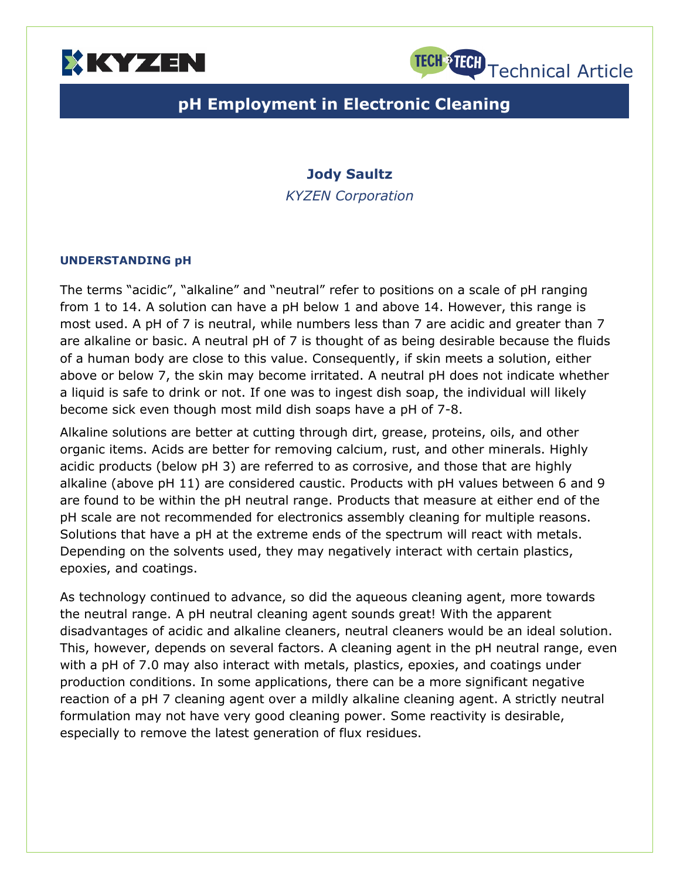



# **pH Employment in Electronic Cleaning**

## **Jody Saultz**

*KYZEN Corporation*

### **UNDERSTANDING pH**

The terms "acidic", "alkaline" and "neutral" refer to positions on a scale of pH ranging from 1 to 14. A solution can have a pH below 1 and above 14. However, this range is most used. A pH of 7 is neutral, while numbers less than 7 are acidic and greater than 7 are alkaline or basic. A neutral pH of 7 is thought of as being desirable because the fluids of a human body are close to this value. Consequently, if skin meets a solution, either above or below 7, the skin may become irritated. A neutral pH does not indicate whether a liquid is safe to drink or not. If one was to ingest dish soap, the individual will likely become sick even though most mild dish soaps have a pH of 7-8.

Alkaline solutions are better at cutting through dirt, grease, proteins, oils, and other organic items. Acids are better for removing calcium, rust, and other minerals. Highly acidic products (below pH 3) are referred to as corrosive, and those that are highly alkaline (above pH 11) are considered caustic. Products with pH values between 6 and 9 are found to be within the pH neutral range. Products that measure at either end of the pH scale are not recommended for electronics assembly cleaning for multiple reasons. Solutions that have a pH at the extreme ends of the spectrum will react with metals. Depending on the solvents used, they may negatively interact with certain plastics, epoxies, and coatings.

As technology continued to advance, so did the aqueous cleaning agent, more towards the neutral range. A pH neutral cleaning agent sounds great! With the apparent disadvantages of acidic and alkaline cleaners, neutral cleaners would be an ideal solution. This, however, depends on several factors. A cleaning agent in the pH neutral range, even with a pH of 7.0 may also interact with metals, plastics, epoxies, and coatings under production conditions. In some applications, there can be a more significant negative reaction of a pH 7 cleaning agent over a mildly alkaline cleaning agent. A strictly neutral formulation may not have very good cleaning power. Some reactivity is desirable, especially to remove the latest generation of flux residues.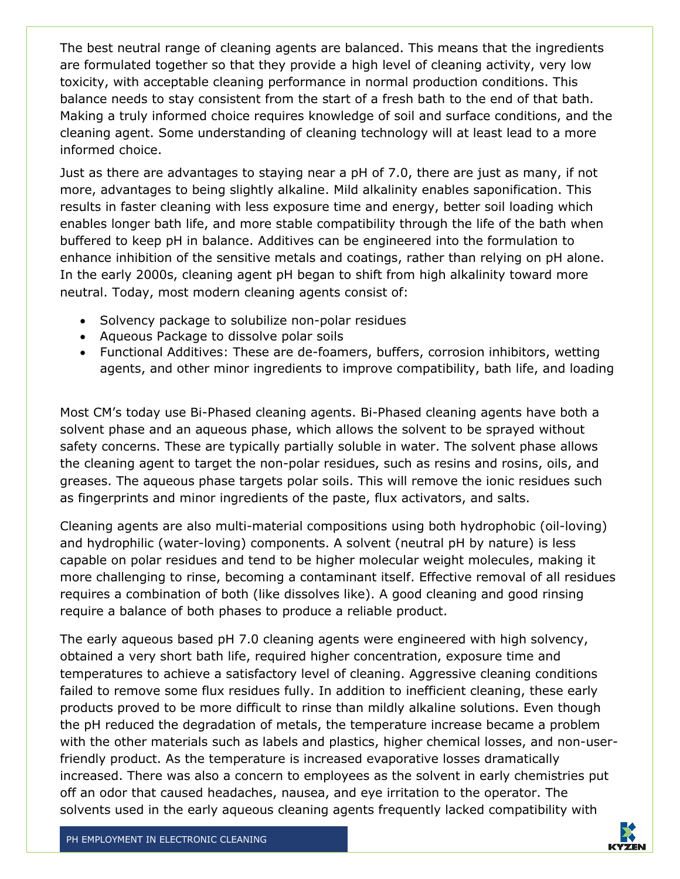The best neutral range of cleaning agents are balanced. This means that the ingredients are formulated together so that they provide a high level of cleaning activity, very low toxicity, with acceptable cleaning performance in normal production conditions. This balance needs to stay consistent from the start of a fresh bath to the end of that bath. Making a truly informed choice requires knowledge of soil and surface conditions, and the cleaning agent. Some understanding of cleaning technology will at least lead to a more informed choice.

Just as there are advantages to staying near a pH of 7.0, there are just as many, if not more, advantages to being slightly alkaline. Mild alkalinity enables saponification. This results in faster cleaning with less exposure time and energy, better soil loading which enables longer bath life, and more stable compatibility through the life of the bath when buffered to keep pH in balance. Additives can be engineered into the formulation to enhance inhibition of the sensitive metals and coatings, rather than relying on pH alone. In the early 2000s, cleaning agent pH began to shift from high alkalinity toward more neutral. Today, most modern cleaning agents consist of:

- Solvency package to solubilize non-polar residues
- Aqueous Package to dissolve polar soils
- Functional Additives: These are de-foamers, buffers, corrosion inhibitors, wetting agents, and other minor ingredients to improve compatibility, bath life, and loading

Most CM's today use Bi-Phased cleaning agents. Bi-Phased cleaning agents have both a solvent phase and an aqueous phase, which allows the solvent to be sprayed without safety concerns. These are typically partially soluble in water. The solvent phase allows the cleaning agent to target the non-polar residues, such as resins and rosins, oils, and greases. The aqueous phase targets polar soils. This will remove the ionic residues such as fingerprints and minor ingredients of the paste, flux activators, and salts.

Cleaning agents are also multi-material compositions using both hydrophobic (oil-loving) and hydrophilic (water-loving) components. A solvent (neutral pH by nature) is less capable on polar residues and tend to be higher molecular weight molecules, making it more challenging to rinse, becoming a contaminant itself. Effective removal of all residues requires a combination of both (like dissolves like). A good cleaning and good rinsing require a balance of both phases to produce a reliable product.

The early aqueous based pH 7.0 cleaning agents were engineered with high solvency, obtained a very short bath life, required higher concentration, exposure time and temperatures to achieve a satisfactory level of cleaning. Aggressive cleaning conditions failed to remove some flux residues fully. In addition to inefficient cleaning, these early products proved to be more difficult to rinse than mildly alkaline solutions. Even though the pH reduced the degradation of metals, the temperature increase became a problem with the other materials such as labels and plastics, higher chemical losses, and non-userfriendly product. As the temperature is increased evaporative losses dramatically increased. There was also a concern to employees as the solvent in early chemistries put off an odor that caused headaches, nausea, and eye irritation to the operator. The solvents used in the early aqueous cleaning agents frequently lacked compatibility with

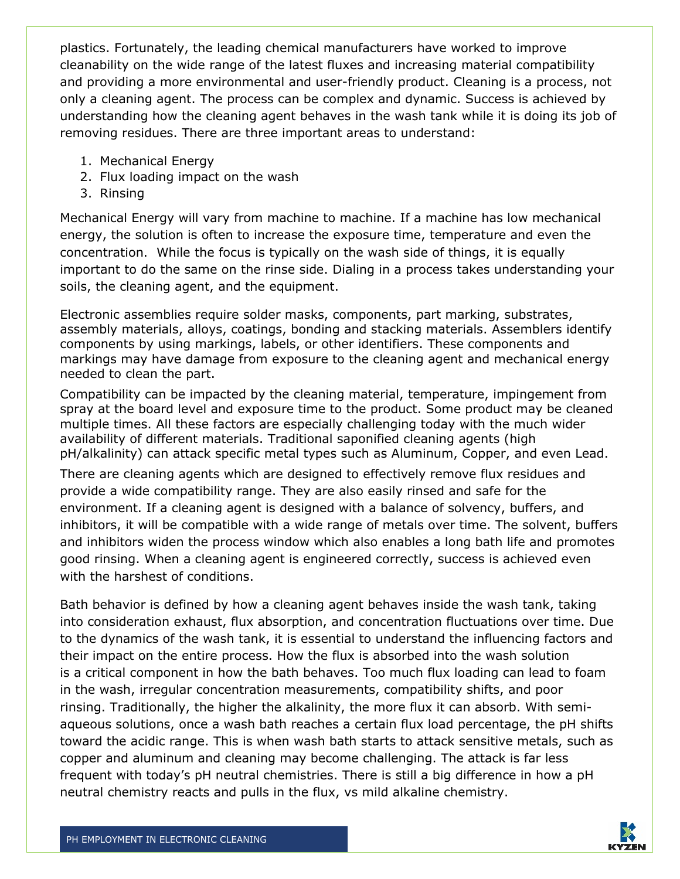plastics. Fortunately, the leading chemical manufacturers have worked to improve cleanability on the wide range of the latest fluxes and increasing material compatibility and providing a more environmental and user-friendly product. Cleaning is a process, not only a cleaning agent. The process can be complex and dynamic. Success is achieved by understanding how the cleaning agent behaves in the wash tank while it is doing its job of removing residues. There are three important areas to understand:

- 1. Mechanical Energy
- 2. Flux loading impact on the wash
- 3. Rinsing

Mechanical Energy will vary from machine to machine. If a machine has low mechanical energy, the solution is often to increase the exposure time, temperature and even the concentration. While the focus is typically on the wash side of things, it is equally important to do the same on the rinse side. Dialing in a process takes understanding your soils, the cleaning agent, and the equipment.

Electronic assemblies require solder masks, components, part marking, substrates, assembly materials, alloys, coatings, bonding and stacking materials. Assemblers identify components by using markings, labels, or other identifiers. These components and markings may have damage from exposure to the cleaning agent and mechanical energy needed to clean the part.

Compatibility can be impacted by the cleaning material, temperature, impingement from spray at the board level and exposure time to the product. Some product may be cleaned multiple times. All these factors are especially challenging today with the much wider availability of different materials. Traditional saponified cleaning agents (high pH/alkalinity) can attack specific metal types such as Aluminum, Copper, and even Lead.

There are cleaning agents which are designed to effectively remove flux residues and provide a wide compatibility range. They are also easily rinsed and safe for the environment. If a cleaning agent is designed with a balance of solvency, buffers, and inhibitors, it will be compatible with a wide range of metals over time. The solvent, buffers and inhibitors widen the process window which also enables a long bath life and promotes good rinsing. When a cleaning agent is engineered correctly, success is achieved even with the harshest of conditions.

Bath behavior is defined by how a cleaning agent behaves inside the wash tank, taking into consideration exhaust, flux absorption, and concentration fluctuations over time. Due to the dynamics of the wash tank, it is essential to understand the influencing factors and their impact on the entire process. How the flux is absorbed into the wash solution is a critical component in how the bath behaves. Too much flux loading can lead to foam in the wash, irregular concentration measurements, compatibility shifts, and poor rinsing. Traditionally, the higher the alkalinity, the more flux it can absorb. With semiaqueous solutions, once a wash bath reaches a certain flux load percentage, the pH shifts toward the acidic range. This is when wash bath starts to attack sensitive metals, such as copper and aluminum and cleaning may become challenging. The attack is far less frequent with today's pH neutral chemistries. There is still a big difference in how a pH neutral chemistry reacts and pulls in the flux, vs mild alkaline chemistry.

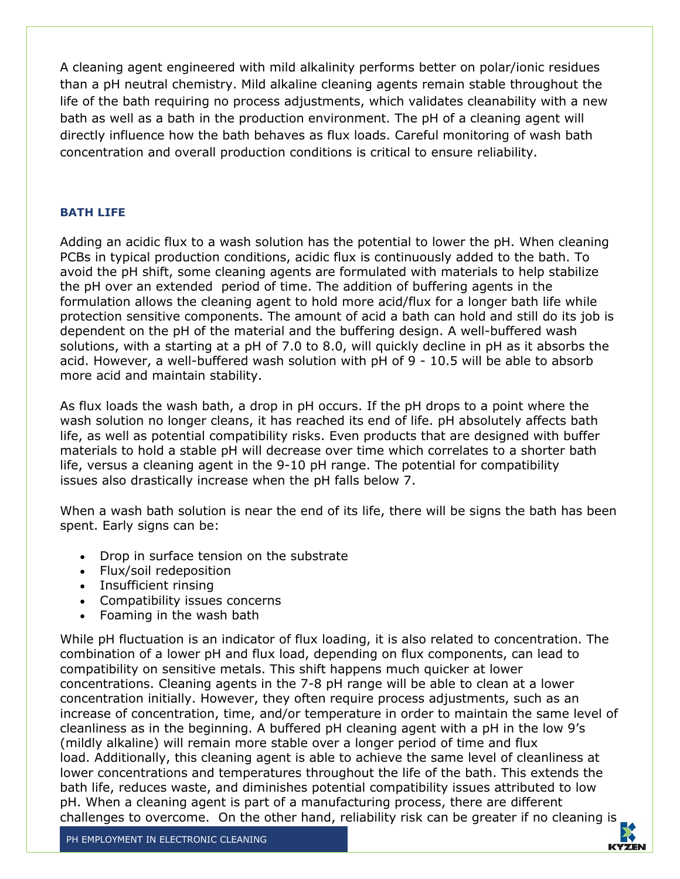A cleaning agent engineered with mild alkalinity performs better on polar/ionic residues than a pH neutral chemistry. Mild alkaline cleaning agents remain stable throughout the life of the bath requiring no process adjustments, which validates cleanability with a new bath as well as a bath in the production environment. The pH of a cleaning agent will directly influence how the bath behaves as flux loads. Careful monitoring of wash bath concentration and overall production conditions is critical to ensure reliability.

#### **BATH LIFE**

Adding an acidic flux to a wash solution has the potential to lower the pH. When cleaning PCBs in typical production conditions, acidic flux is continuously added to the bath. To avoid the pH shift, some cleaning agents are formulated with materials to help stabilize the pH over an extended period of time. The addition of buffering agents in the formulation allows the cleaning agent to hold more acid/flux for a longer bath life while protection sensitive components. The amount of acid a bath can hold and still do its job is dependent on the pH of the material and the buffering design. A well-buffered wash solutions, with a starting at a pH of 7.0 to 8.0, will quickly decline in pH as it absorbs the acid. However, a well-buffered wash solution with pH of 9 - 10.5 will be able to absorb more acid and maintain stability.

As flux loads the wash bath, a drop in pH occurs. If the pH drops to a point where the wash solution no longer cleans, it has reached its end of life. pH absolutely affects bath life, as well as potential compatibility risks. Even products that are designed with buffer materials to hold a stable pH will decrease over time which correlates to a shorter bath life, versus a cleaning agent in the 9-10 pH range. The potential for compatibility issues also drastically increase when the pH falls below 7.

When a wash bath solution is near the end of its life, there will be signs the bath has been spent. Early signs can be:

- Drop in surface tension on the substrate
- Flux/soil redeposition
- Insufficient rinsing
- Compatibility issues concerns
- Foaming in the wash bath

While pH fluctuation is an indicator of flux loading, it is also related to concentration. The combination of a lower pH and flux load, depending on flux components, can lead to compatibility on sensitive metals. This shift happens much quicker at lower concentrations. Cleaning agents in the 7-8 pH range will be able to clean at a lower concentration initially. However, they often require process adjustments, such as an increase of concentration, time, and/or temperature in order to maintain the same level of cleanliness as in the beginning. A buffered pH cleaning agent with a pH in the low 9's (mildly alkaline) will remain more stable over a longer period of time and flux load. Additionally, this cleaning agent is able to achieve the same level of cleanliness at lower concentrations and temperatures throughout the life of the bath. This extends the bath life, reduces waste, and diminishes potential compatibility issues attributed to low pH. When a cleaning agent is part of a manufacturing process, there are different challenges to overcome. On the other hand, reliability risk can be greater if no cleaning is